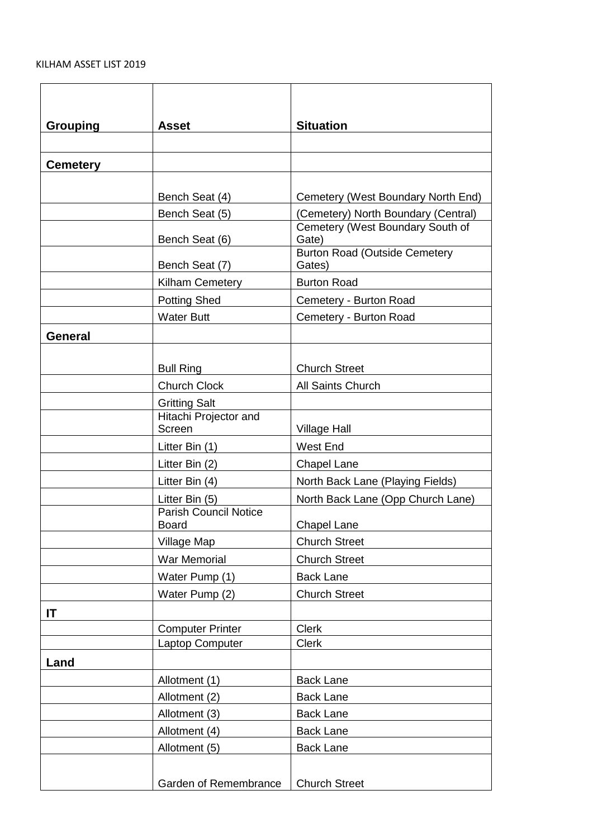## KILHAM ASSET LIST 2019

| <b>Grouping</b> | <b>Asset</b>                                   | <b>Situation</b>                               |
|-----------------|------------------------------------------------|------------------------------------------------|
|                 |                                                |                                                |
| <b>Cemetery</b> |                                                |                                                |
|                 |                                                |                                                |
|                 | Bench Seat (4)                                 | Cemetery (West Boundary North End)             |
|                 | Bench Seat (5)                                 | (Cemetery) North Boundary (Central)            |
|                 | Bench Seat (6)                                 | Cemetery (West Boundary South of<br>Gate)      |
|                 | Bench Seat (7)                                 | <b>Burton Road (Outside Cemetery</b><br>Gates) |
|                 | Kilham Cemetery                                | <b>Burton Road</b>                             |
|                 | <b>Potting Shed</b>                            | Cemetery - Burton Road                         |
|                 | <b>Water Butt</b>                              | Cemetery - Burton Road                         |
| <b>General</b>  |                                                |                                                |
|                 |                                                |                                                |
|                 | <b>Bull Ring</b>                               | <b>Church Street</b>                           |
|                 | <b>Church Clock</b>                            | All Saints Church                              |
|                 | <b>Gritting Salt</b>                           |                                                |
|                 | Hitachi Projector and                          |                                                |
|                 | Screen                                         | <b>Village Hall</b>                            |
|                 | Litter Bin (1)                                 | West End                                       |
|                 | Litter Bin (2)                                 | <b>Chapel Lane</b>                             |
|                 | Litter Bin (4)                                 | North Back Lane (Playing Fields)               |
|                 | Litter Bin (5)<br><b>Parish Council Notice</b> | North Back Lane (Opp Church Lane)              |
|                 | <b>Board</b>                                   | <b>Chapel Lane</b>                             |
|                 | Village Map                                    | <b>Church Street</b>                           |
|                 | War Memorial                                   | <b>Church Street</b>                           |
|                 | Water Pump (1)                                 | <b>Back Lane</b>                               |
|                 | Water Pump (2)                                 | <b>Church Street</b>                           |
| IT              |                                                |                                                |
|                 | <b>Computer Printer</b>                        | <b>Clerk</b>                                   |
|                 | Laptop Computer                                | <b>Clerk</b>                                   |
| Land            |                                                |                                                |
|                 | Allotment (1)                                  | <b>Back Lane</b>                               |
|                 | Allotment (2)                                  | <b>Back Lane</b>                               |
|                 | Allotment (3)                                  | <b>Back Lane</b>                               |
|                 | Allotment (4)                                  | <b>Back Lane</b>                               |
|                 | Allotment (5)                                  | <b>Back Lane</b>                               |
|                 |                                                |                                                |
|                 | Garden of Remembrance                          | <b>Church Street</b>                           |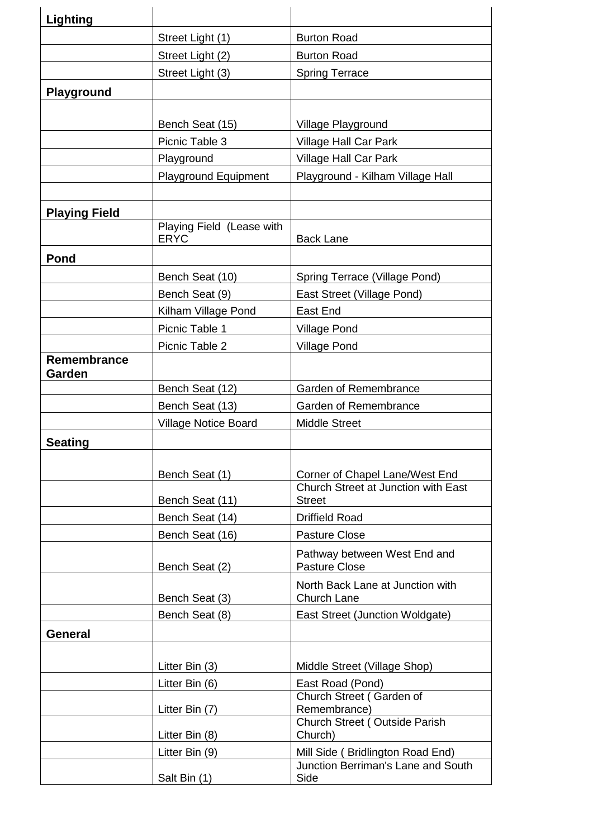| Lighting             |                             |                                                                        |
|----------------------|-----------------------------|------------------------------------------------------------------------|
|                      | Street Light (1)            | <b>Burton Road</b>                                                     |
|                      | Street Light (2)            | <b>Burton Road</b>                                                     |
|                      | Street Light (3)            | <b>Spring Terrace</b>                                                  |
| <b>Playground</b>    |                             |                                                                        |
|                      |                             |                                                                        |
|                      | Bench Seat (15)             | Village Playground                                                     |
|                      | Picnic Table 3              | <b>Village Hall Car Park</b>                                           |
|                      | Playground                  | Village Hall Car Park                                                  |
|                      | <b>Playground Equipment</b> | Playground - Kilham Village Hall                                       |
|                      |                             |                                                                        |
| <b>Playing Field</b> |                             |                                                                        |
|                      | Playing Field (Lease with   |                                                                        |
|                      | <b>ERYC</b>                 | <b>Back Lane</b>                                                       |
| Pond                 |                             |                                                                        |
|                      | Bench Seat (10)             | Spring Terrace (Village Pond)                                          |
|                      | Bench Seat (9)              | East Street (Village Pond)                                             |
|                      | Kilham Village Pond         | East End                                                               |
|                      | Picnic Table 1              | <b>Village Pond</b>                                                    |
| Remembrance          | Picnic Table 2              | <b>Village Pond</b>                                                    |
| Garden               |                             |                                                                        |
|                      | Bench Seat (12)             | Garden of Remembrance                                                  |
|                      | Bench Seat (13)             | Garden of Remembrance                                                  |
|                      | <b>Village Notice Board</b> | <b>Middle Street</b>                                                   |
| <b>Seating</b>       |                             |                                                                        |
|                      |                             |                                                                        |
|                      | Bench Seat (1)              | Corner of Chapel Lane/West End                                         |
|                      | Bench Seat (11)             | Church Street at Junction with East<br><b>Street</b>                   |
|                      | Bench Seat (14)             | <b>Driffield Road</b>                                                  |
|                      | Bench Seat (16)             | <b>Pasture Close</b>                                                   |
|                      |                             | Pathway between West End and                                           |
|                      | Bench Seat (2)              | Pasture Close                                                          |
|                      |                             | North Back Lane at Junction with                                       |
|                      | Bench Seat (3)              | Church Lane                                                            |
|                      | Bench Seat (8)              | East Street (Junction Woldgate)                                        |
| General              |                             |                                                                        |
|                      |                             |                                                                        |
|                      | Litter Bin (3)              | Middle Street (Village Shop)                                           |
|                      | Litter Bin (6)              | East Road (Pond)<br>Church Street (Garden of                           |
|                      | Litter Bin (7)              | Remembrance)                                                           |
|                      |                             | Church Street (Outside Parish                                          |
|                      | Litter Bin (8)              | Church)                                                                |
|                      | Litter Bin (9)              | Mill Side (Bridlington Road End)<br>Junction Berriman's Lane and South |
|                      | Salt Bin (1)                | Side                                                                   |